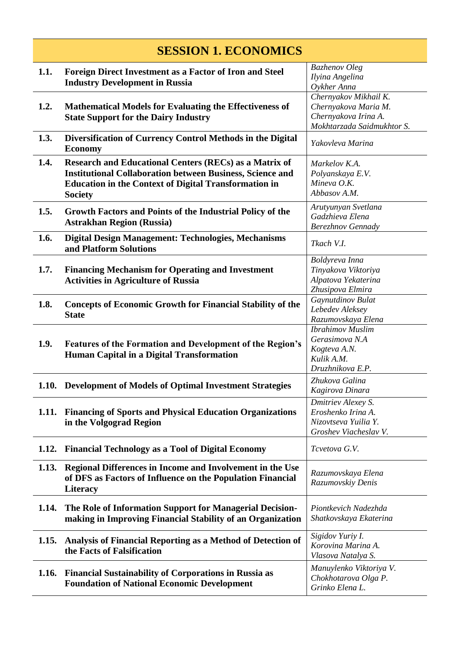| <b>SESSION 1. ECONOMICS</b> |                                                                                                                                                                                                                     |                                                                                                     |
|-----------------------------|---------------------------------------------------------------------------------------------------------------------------------------------------------------------------------------------------------------------|-----------------------------------------------------------------------------------------------------|
| 1.1.                        | <b>Foreign Direct Investment as a Factor of Iron and Steel</b><br><b>Industry Development in Russia</b>                                                                                                             | <b>Bazhenov</b> Oleg<br>Ilyina Angelina<br>Oykher Anna                                              |
| 1.2.                        | <b>Mathematical Models for Evaluating the Effectiveness of</b><br><b>State Support for the Dairy Industry</b>                                                                                                       | Chernyakov Mikhail K.<br>Chernyakova Maria M.<br>Chernyakova Irina A.<br>Mokhtarzada Saidmukhtor S. |
| 1.3.                        | Diversification of Currency Control Methods in the Digital<br><b>Economy</b>                                                                                                                                        | Yakovleva Marina                                                                                    |
| 1.4.                        | <b>Research and Educational Centers (RECs) as a Matrix of</b><br><b>Institutional Collaboration between Business, Science and</b><br><b>Education in the Context of Digital Transformation in</b><br><b>Society</b> | Markelov K.A.<br>Polyanskaya E.V.<br>Mineva O.K.<br>Abbasov A.M.                                    |
| 1.5.                        | Growth Factors and Points of the Industrial Policy of the<br><b>Astrakhan Region (Russia)</b>                                                                                                                       | Arutyunyan Svetlana<br>Gadzhieva Elena<br>Berezhnov Gennady                                         |
| 1.6.                        | Digital Design Management: Technologies, Mechanisms<br>and Platform Solutions                                                                                                                                       | Tkach V.I.                                                                                          |
| 1.7.                        | <b>Financing Mechanism for Operating and Investment</b><br><b>Activities in Agriculture of Russia</b>                                                                                                               | Boldyreva Inna<br>Tinyakova Viktoriya<br>Alpatova Yekaterina<br>Zhusipova Elmira                    |
| 1.8.                        | <b>Concepts of Economic Growth for Financial Stability of the</b><br><b>State</b>                                                                                                                                   | Gaynutdinov Bulat<br>Lebedev Aleksey<br>Razumovskaya Elena                                          |
| 1.9.                        | Features of the Formation and Development of the Region's<br>Human Capital in a Digital Transformation                                                                                                              | <b>Ibrahimov</b> Muslim<br>Gerasimova N.A<br>Kogteva A.N.<br>Kulik A.M.<br>Druzhnikova E.P.         |
| 1.10.                       | <b>Development of Models of Optimal Investment Strategies</b>                                                                                                                                                       | Zhukova Galina<br>Kagirova Dinara                                                                   |
| 1.11.                       | <b>Financing of Sports and Physical Education Organizations</b><br>in the Volgograd Region                                                                                                                          | Dmitriev Alexey S.<br>Eroshenko Irina A.<br>Nizovtseva Yuilia Y.<br>Groshev Viacheslav V.           |
| 1.12.                       | <b>Financial Technology as a Tool of Digital Economy</b>                                                                                                                                                            | Tcvetova G.V.                                                                                       |
| 1.13.                       | Regional Differences in Income and Involvement in the Use<br>of DFS as Factors of Influence on the Population Financial<br><b>Literacy</b>                                                                          | Razumovskaya Elena<br>Razumovskiy Denis                                                             |
| 1.14.                       | The Role of Information Support for Managerial Decision-<br>making in Improving Financial Stability of an Organization                                                                                              | Piontkevich Nadezhda<br>Shatkovskaya Ekaterina                                                      |
| 1.15.                       | Analysis of Financial Reporting as a Method of Detection of<br>the Facts of Falsification                                                                                                                           | Sigidov Yuriy I.<br>Korovina Marina A.<br>Vlasova Natalya S.                                        |
| 1.16.                       | <b>Financial Sustainability of Corporations in Russia as</b><br><b>Foundation of National Economic Development</b>                                                                                                  | Manuylenko Viktoriya V.<br>Chokhotarova Olga P.<br>Grinko Elena L.                                  |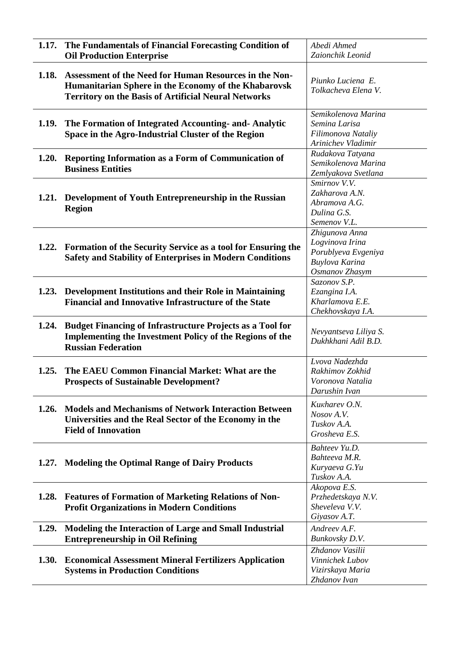| 1.17. | The Fundamentals of Financial Forecasting Condition of<br><b>Oil Production Enterprise</b>                                                                                    | Abedi Ahmed<br>Zaionchik Leonid                                                              |
|-------|-------------------------------------------------------------------------------------------------------------------------------------------------------------------------------|----------------------------------------------------------------------------------------------|
| 1.18. | Assessment of the Need for Human Resources in the Non-<br>Humanitarian Sphere in the Economy of the Khabarovsk<br><b>Territory on the Basis of Artificial Neural Networks</b> | Piunko Luciena E.<br>Tolkacheva Elena V.                                                     |
| 1.19. | The Formation of Integrated Accounting- and-Analytic<br>Space in the Agro-Industrial Cluster of the Region                                                                    | Semikolenova Marina<br>Semina Larisa<br>Filimonova Nataliy<br>Arinichev Vladimir             |
| 1.20. | <b>Reporting Information as a Form of Communication of</b><br><b>Business Entities</b>                                                                                        | Rudakova Tatyana<br>Semikolenova Marina<br>Zemlyakova Svetlana                               |
| 1.21. | Development of Youth Entrepreneurship in the Russian<br><b>Region</b>                                                                                                         | Smirnov V.V.<br>Zakharova A.N.<br>Abramova A.G.<br>Dulina G.S.<br>Semenov V.L.               |
| 1.22. | Formation of the Security Service as a tool for Ensuring the<br><b>Safety and Stability of Enterprises in Modern Conditions</b>                                               | Zhigunova Anna<br>Logvinova Irina<br>Porublyeva Evgeniya<br>Buylova Karina<br>Osmanov Zhasym |
|       | 1.23. Development Institutions and their Role in Maintaining<br><b>Financial and Innovative Infrastructure of the State</b>                                                   | Sazonov S.P.<br>Ezangina I.A.<br>Kharlamova E.E.<br>Chekhovskaya I.A.                        |
| 1.24. | <b>Budget Financing of Infrastructure Projects as a Tool for</b><br><b>Implementing the Investment Policy of the Regions of the</b><br><b>Russian Federation</b>              | Nevyantseva Liliya S.<br>Dukhkhani Adil B.D.                                                 |
| 1.25. | The EAEU Common Financial Market: What are the<br><b>Prospects of Sustainable Development?</b>                                                                                | Lvova Nadezhda<br>Rakhimov Zokhid<br>Voronova Natalia<br>Darushin Ivan                       |
| 1.26. | <b>Models and Mechanisms of Network Interaction Between</b><br>Universities and the Real Sector of the Economy in the<br><b>Field of Innovation</b>                           | Kukharev O.N.<br>Nosov A.V.<br>Tuskov A.A.<br>Grosheva E.S.                                  |
| 1.27. | <b>Modeling the Optimal Range of Dairy Products</b>                                                                                                                           | Bahteev Yu.D.<br>Bahteeva M.R.<br>Kuryaeva G.Yu<br>Tuskov A.A.                               |
|       | 1.28. Features of Formation of Marketing Relations of Non-<br><b>Profit Organizations in Modern Conditions</b>                                                                | Akopova E.S.<br>Przhedetskaya N.V.<br>Sheveleva V.V.<br>Giyasov A.T.                         |
| 1.29. | Modeling the Interaction of Large and Small Industrial<br><b>Entrepreneurship in Oil Refining</b>                                                                             | Andreev A.F.<br>Bunkovsky D.V.                                                               |
| 1.30. | <b>Economical Assessment Mineral Fertilizers Application</b><br><b>Systems in Production Conditions</b>                                                                       | Zhdanov Vasilii<br>Vinnichek Lubov<br>Vizirskaya Maria<br>Zhdanov Ivan                       |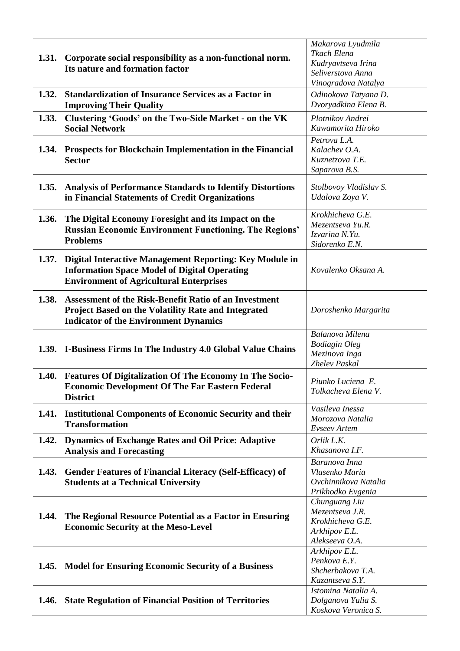|       |                                                                 | Makarova Lyudmila                |
|-------|-----------------------------------------------------------------|----------------------------------|
|       |                                                                 | Tkach Elena                      |
| 1.31. | Corporate social responsibility as a non-functional norm.       | Kudryavtseva Irina               |
|       | Its nature and formation factor                                 | Seliverstova Anna                |
|       |                                                                 | Vinogradova Natalya              |
| 1.32. | <b>Standardization of Insurance Services as a Factor in</b>     | Odinokova Tatyana D.             |
|       | <b>Improving Their Quality</b>                                  | Dvoryadkina Elena B.             |
| 1.33. | Clustering 'Goods' on the Two-Side Market - on the VK           | Plotnikov Andrei                 |
|       | <b>Social Network</b>                                           | Kawamorita Hiroko                |
|       |                                                                 | Petrova L.A.                     |
|       | 1.34. Prospects for Blockchain Implementation in the Financial  | Kalachev O.A.                    |
|       | <b>Sector</b>                                                   | Kuznetzova T.E.                  |
|       |                                                                 | Saparova B.S.                    |
|       | 1.35. Analysis of Performance Standards to Identify Distortions | Stolbovoy Vladislav S.           |
|       | in Financial Statements of Credit Organizations                 | Udalova Zoya V.                  |
|       |                                                                 |                                  |
| 1.36. | The Digital Economy Foresight and its Impact on the             | Krokhicheva G.E.                 |
|       | <b>Russian Economic Environment Functioning. The Regions'</b>   | Mezentseva Yu.R.                 |
|       | <b>Problems</b>                                                 | Izvarina N.Yu.                   |
|       |                                                                 | Sidorenko E.N.                   |
| 1.37. | Digital Interactive Management Reporting: Key Module in         |                                  |
|       | <b>Information Space Model of Digital Operating</b>             | Kovalenko Oksana A.              |
|       | <b>Environment of Agricultural Enterprises</b>                  |                                  |
|       |                                                                 |                                  |
| 1.38. | Assessment of the Risk-Benefit Ratio of an Investment           |                                  |
|       | <b>Project Based on the Volatility Rate and Integrated</b>      | Doroshenko Margarita             |
|       | <b>Indicator of the Environment Dynamics</b>                    |                                  |
|       |                                                                 | Balanova Milena                  |
|       | 1.39. I-Business Firms In The Industry 4.0 Global Value Chains  | <b>Bodiagin Oleg</b>             |
|       |                                                                 | Mezinova Inga                    |
|       |                                                                 | Zhelev Paskal                    |
|       | 1.40. Features Of Digitalization Of The Economy In The Socio-   | Piunko Luciena E.                |
|       | <b>Economic Development Of The Far Eastern Federal</b>          | Tolkacheva Elena V.              |
|       | <b>District</b>                                                 |                                  |
| 1.41. | <b>Institutional Components of Economic Security and their</b>  | Vasileva Inessa                  |
|       | <b>Transformation</b>                                           | Morozova Natalia                 |
|       |                                                                 | <b>Evseev</b> Artem              |
| 1.42. | <b>Dynamics of Exchange Rates and Oil Price: Adaptive</b>       | Orlik L.K.                       |
|       | <b>Analysis and Forecasting</b>                                 | Khasanova I.F.                   |
|       |                                                                 | Baranova Inna                    |
| 1.43. | <b>Gender Features of Financial Literacy (Self-Efficacy) of</b> | Vlasenko Maria                   |
|       | <b>Students at a Technical University</b>                       | Ovchinnikova Natalia             |
|       |                                                                 | Prikhodko Evgenia                |
|       |                                                                 | Chunguang Liu<br>Mezentseva J.R. |
|       | 1.44. The Regional Resource Potential as a Factor in Ensuring   | Krokhicheva G.E.                 |
|       | <b>Economic Security at the Meso-Level</b>                      | Arkhipov E.L.                    |
|       |                                                                 | Alekseeva O.A.                   |
|       |                                                                 | Arkhipov E.L.                    |
|       |                                                                 | Penkova E.Y.                     |
|       | 1.45. Model for Ensuring Economic Security of a Business        | Shcherbakova T.A.                |
|       |                                                                 | Kazantseva S.Y.                  |
|       |                                                                 | Istomina Natalia A.              |
|       | 1.46. State Regulation of Financial Position of Territories     | Dolganova Yulia S.               |
|       |                                                                 | Koskova Veronica S.              |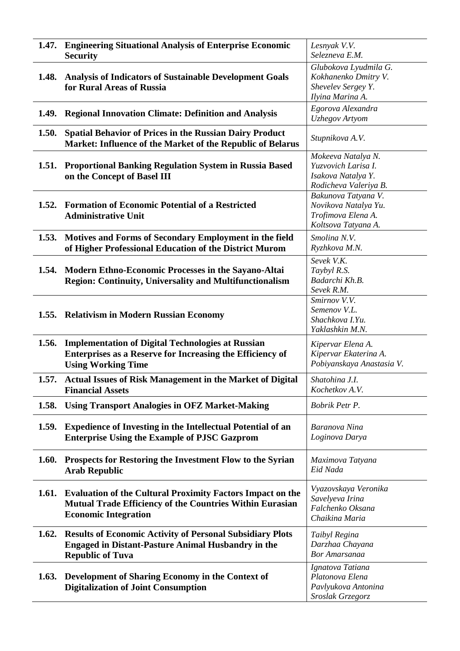| 1.47.        | <b>Engineering Situational Analysis of Enterprise Economic</b><br><b>Security</b>                                                                                   | Lesnyak V.V.<br>Selezneva E.M.                                                           |
|--------------|---------------------------------------------------------------------------------------------------------------------------------------------------------------------|------------------------------------------------------------------------------------------|
| 1.48.        | <b>Analysis of Indicators of Sustainable Development Goals</b><br>for Rural Areas of Russia                                                                         | Glubokova Lyudmila G.<br>Kokhanenko Dmitry V.<br>Shevelev Sergey Y.<br>Ilyina Marina A.  |
| 1.49.        | <b>Regional Innovation Climate: Definition and Analysis</b>                                                                                                         | Egorova Alexandra<br><b>Uzhegov</b> Artyom                                               |
| 1.50.        | <b>Spatial Behavior of Prices in the Russian Dairy Product</b><br>Market: Influence of the Market of the Republic of Belarus                                        | Stupnikova A.V.                                                                          |
| <b>1.51.</b> | <b>Proportional Banking Regulation System in Russia Based</b><br>on the Concept of Basel III                                                                        | Mokeeva Natalya N.<br>Yuzvovich Larisa I.<br>Isakova Natalya Y.<br>Rodicheva Valeriya B. |
| 1.52.        | <b>Formation of Economic Potential of a Restricted</b><br><b>Administrative Unit</b>                                                                                | Bakunova Tatyana V.<br>Novikova Natalya Yu.<br>Trofimova Elena A.<br>Koltsova Tatyana A. |
| 1.53.        | Motives and Forms of Secondary Employment in the field<br>of Higher Professional Education of the District Murom                                                    | Smolina N.V.<br>Ryzhkova M.N.                                                            |
| 1.54.        | Modern Ethno-Economic Processes in the Sayano-Altai<br><b>Region: Continuity, Universality and Multifunctionalism</b>                                               | Sevek V.K.<br>Taybyl R.S.<br>Badarchi Kh.B.<br>Sevek R.M.                                |
|              | 1.55. Relativism in Modern Russian Economy                                                                                                                          | Smirnov V.V.<br>Semenov V.L.<br>Shachkova I.Yu.<br>Yaklashkin M.N.                       |
| 1.56.        | <b>Implementation of Digital Technologies at Russian</b><br>Enterprises as a Reserve for Increasing the Efficiency of<br><b>Using Working Time</b>                  | Kipervar Elena A.<br>Kipervar Ekaterina A.<br>Pobiyanskaya Anastasia V.                  |
| 1.57.        | <b>Actual Issues of Risk Management in the Market of Digital</b><br><b>Financial Assets</b>                                                                         | Shatohina J.I.<br>Kochetkov A.V.                                                         |
| 1.58.        | <b>Using Transport Analogies in OFZ Market-Making</b>                                                                                                               | Bobrik Petr P.                                                                           |
| 1.59.        | <b>Expedience of Investing in the Intellectual Potential of an</b><br><b>Enterprise Using the Example of PJSC Gazprom</b>                                           | Baranova Nina<br>Loginova Darya                                                          |
| 1.60.        | Prospects for Restoring the Investment Flow to the Syrian<br><b>Arab Republic</b>                                                                                   | Maximova Tatyana<br>Eid Nada                                                             |
| 1.61.        | <b>Evaluation of the Cultural Proximity Factors Impact on the</b><br><b>Mutual Trade Efficiency of the Countries Within Eurasian</b><br><b>Economic Integration</b> | Vyazovskaya Veronika<br>Savelyeva Irina<br>Falchenko Oksana<br>Chaikina Maria            |
| 1.62.        | <b>Results of Economic Activity of Personal Subsidiary Plots</b><br><b>Engaged in Distant-Pasture Animal Husbandry in the</b><br><b>Republic of Tuva</b>            | Taibyl Regina<br>Darzhaa Chayana<br><b>Bor Amarsanaa</b>                                 |
| 1.63.        | Development of Sharing Economy in the Context of<br><b>Digitalization of Joint Consumption</b>                                                                      | Ignatova Tatiana<br>Platonova Elena<br>Pavlyukova Antonina<br>Sroslak Grzegorz           |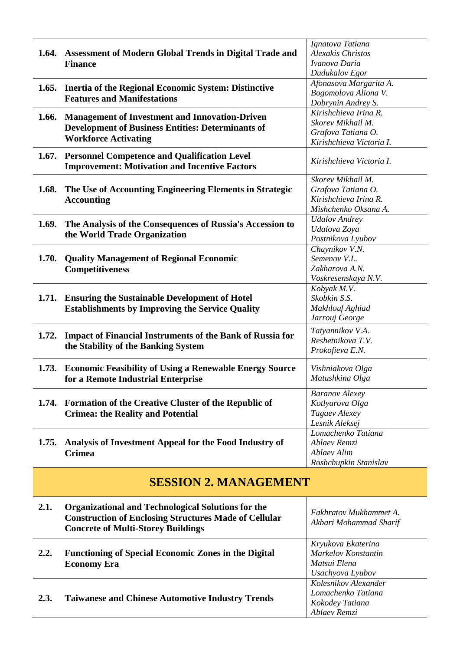|       | 1.64. Assessment of Modern Global Trends in Digital Trade and<br><b>Finance</b>                                                                  | Ignatova Tatiana<br><b>Alexakis Christos</b><br>Ivanova Daria<br>Dudukalov Egor              |
|-------|--------------------------------------------------------------------------------------------------------------------------------------------------|----------------------------------------------------------------------------------------------|
|       | 1.65. Inertia of the Regional Economic System: Distinctive<br><b>Features and Manifestations</b>                                                 | Afonasova Margarita A.<br>Bogomolova Aliona V.<br>Dobrynin Andrey S.                         |
| 1.66. | <b>Management of Investment and Innovation-Driven</b><br><b>Development of Business Entities: Determinants of</b><br><b>Workforce Activating</b> | Kirishchieva Irina R.<br>Skorev Mikhail M.<br>Grafova Tatiana O.<br>Kirishchieva Victoria I. |
| 1.67. | <b>Personnel Competence and Qualification Level</b><br><b>Improvement: Motivation and Incentive Factors</b>                                      | Kirishchieva Victoria I.                                                                     |
| 1.68. | The Use of Accounting Engineering Elements in Strategic<br><b>Accounting</b>                                                                     | Skorev Mikhail M.<br>Grafova Tatiana O.<br>Kirishchieva Irina R.<br>Mishchenko Oksana A.     |
| 1.69. | The Analysis of the Consequences of Russia's Accession to<br>the World Trade Organization                                                        | <b>Udalov</b> Andrey<br>Udalova Zoya<br>Postnikova Lyubov                                    |
| 1.70. | <b>Quality Management of Regional Economic</b><br><b>Competitiveness</b>                                                                         | Chaynikov V.N.<br>Semenov V.L.<br>Zakharova A.N.<br>Voskresenskaya N.V.                      |
|       | 1.71. Ensuring the Sustainable Development of Hotel<br><b>Establishments by Improving the Service Quality</b>                                    | Kobyak M.V.<br>Skobkin S.S.<br>Makhlouf Aghiad<br>Jarrouj George                             |
| 1.72. | <b>Impact of Financial Instruments of the Bank of Russia for</b><br>the Stability of the Banking System                                          | Tatyannikov V.A.<br>Reshetnikova T.V.<br>Prokofieva E.N.                                     |
| 1.73. | <b>Economic Feasibility of Using a Renewable Energy Source</b><br>for a Remote Industrial Enterprise                                             | Vishniakova Olga<br>Matushkina Olga                                                          |
| 1.74. | <b>Formation of the Creative Cluster of the Republic of</b><br><b>Crimea: the Reality and Potential</b>                                          | <b>Baranov</b> Alexey<br>Kotlyarova Olga<br>Tagaev Alexey<br>Lesnik Aleksej                  |
| 1.75. | Analysis of Investment Appeal for the Food Industry of<br><b>Crimea</b>                                                                          | Lomachenko Tatiana<br>Ablaev Remzi<br><b>Ablaev Alim</b><br>Roshchupkin Stanislav            |

## **SESSION 2. MANAGEMENT**

| 2.1. | <b>Organizational and Technological Solutions for the</b><br><b>Construction of Enclosing Structures Made of Cellular</b><br><b>Concrete of Multi-Storey Buildings</b> | Fakhratov Mukhammet A.<br>Akbari Mohammad Sharif                              |
|------|------------------------------------------------------------------------------------------------------------------------------------------------------------------------|-------------------------------------------------------------------------------|
| 2.2. | <b>Functioning of Special Economic Zones in the Digital</b><br><b>Economy Era</b>                                                                                      | Kryukova Ekaterina<br>Markelov Konstantin<br>Matsui Elena<br>Usachyova Lyubov |
| 2.3. | <b>Taiwanese and Chinese Automotive Industry Trends</b>                                                                                                                | Kolesnikov Alexander<br>Lomachenko Tatiana<br>Kokodey Tatiana<br>Ablaev Remzi |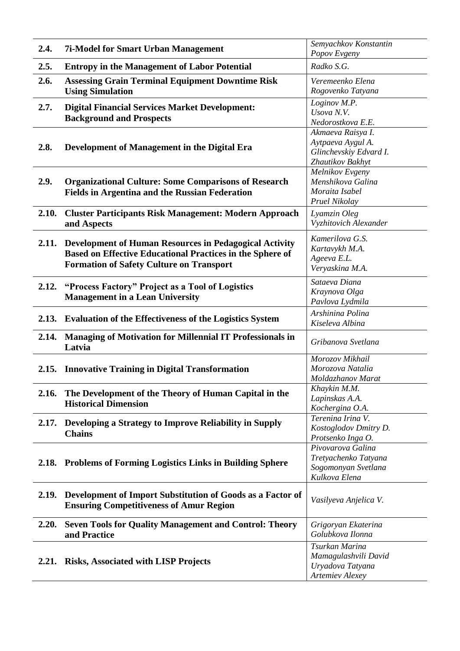| 2.4.  | <b>7i-Model for Smart Urban Management</b>                       | Semyachkov Konstantin                   |
|-------|------------------------------------------------------------------|-----------------------------------------|
|       |                                                                  | Popov Evgeny                            |
| 2.5.  | <b>Entropy in the Management of Labor Potential</b>              | Radko S.G.                              |
| 2.6.  | <b>Assessing Grain Terminal Equipment Downtime Risk</b>          | Veremeenko Elena                        |
|       | <b>Using Simulation</b>                                          | Rogovenko Tatyana                       |
| 2.7.  | <b>Digital Financial Services Market Development:</b>            | Loginov M.P.                            |
|       |                                                                  | Usova N.V.                              |
|       | <b>Background and Prospects</b>                                  | Nedorostkova E.E.                       |
|       |                                                                  | Akmaeva Raisya I.                       |
| 2.8.  | Development of Management in the Digital Era                     | Aytpaeva Aygul A.                       |
|       |                                                                  | Glinchevskiy Edvard I.                  |
|       |                                                                  | Zhautikov Bakhyt                        |
|       |                                                                  | Melnikov Evgeny                         |
| 2.9.  | <b>Organizational Culture: Some Comparisons of Research</b>      | Menshikova Galina                       |
|       | <b>Fields in Argentina and the Russian Federation</b>            | Moraita Isabel<br>Pruel Nikolay         |
|       |                                                                  |                                         |
| 2.10. | <b>Cluster Participants Risk Management: Modern Approach</b>     | Lyamzin Oleg                            |
|       | and Aspects                                                      | Vyzhitovich Alexander                   |
|       |                                                                  | Kamerilova G.S.                         |
|       | 2.11. Development of Human Resources in Pedagogical Activity     | Kartavykh M.A.                          |
|       | <b>Based on Effective Educational Practices in the Sphere of</b> | Ageeva E.L.                             |
|       | <b>Formation of Safety Culture on Transport</b>                  | Veryaskina M.A.                         |
|       |                                                                  | Sataeva Diana                           |
| 2.12. | "Process Factory" Project as a Tool of Logistics                 | Kraynova Olga                           |
|       | <b>Management in a Lean University</b>                           | Pavlova Lydmila                         |
|       |                                                                  | Arshinina Polina                        |
|       | 2.13. Evaluation of the Effectiveness of the Logistics System    | Kiseleva Albina                         |
| 2.14. | <b>Managing of Motivation for Millennial IT Professionals in</b> |                                         |
|       | Latvia                                                           | Gribanova Svetlana                      |
|       |                                                                  | Morozov Mikhail                         |
|       | 2.15. Innovative Training in Digital Transformation              | Morozova Natalia                        |
|       |                                                                  | Moldazhanov Marat                       |
| 2.16. | The Development of the Theory of Human Capital in the            | Khaykin M.M.                            |
|       | <b>Historical Dimension</b>                                      | Lapinskas A.A.                          |
|       |                                                                  | Kochergina O.A.                         |
| 2.17. | Developing a Strategy to Improve Reliability in Supply           | Terenina Irina V.                       |
|       | <b>Chains</b>                                                    | Kostoglodov Dmitry D.                   |
|       |                                                                  | Protsenko Inga O.<br>Pivovarova Galina  |
|       |                                                                  | Tretyachenko Tatyana                    |
|       | 2.18. Problems of Forming Logistics Links in Building Sphere     | Sogomonyan Svetlana                     |
|       |                                                                  | Kulkova Elena                           |
|       |                                                                  |                                         |
| 2.19. | Development of Import Substitution of Goods as a Factor of       | Vasilyeva Anjelica V.                   |
|       | <b>Ensuring Competitiveness of Amur Region</b>                   |                                         |
|       |                                                                  |                                         |
| 2.20. | <b>Seven Tools for Quality Management and Control: Theory</b>    | Grigoryan Ekaterina<br>Golubkova Ilonna |
|       | and Practice                                                     |                                         |
|       |                                                                  | Tsurkan Marina                          |
| 2.21. | <b>Risks, Associated with LISP Projects</b>                      | Mamagulashvili David                    |
|       |                                                                  | Uryadova Tatyana<br>Artemiev Alexey     |
|       |                                                                  |                                         |